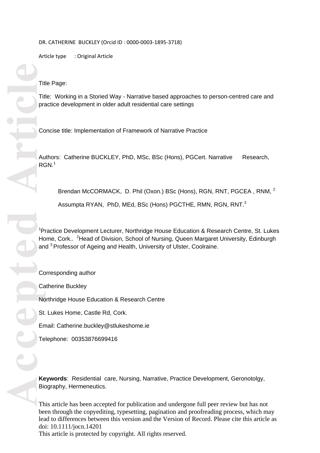DR. CATHERINE BUCKLEY (Orcid ID : 0000 -0003 -1895 -3718)

Article type : Original Article

Title Page:

Title: Working in a Storied Way - Narrative based approaches to person -centred care and practice development in older adult residential care settings

Concise title: Implementation of Framework of Narrative Practice

Authors: Catherine BUCKLEY, PhD, MSc, BSc (Hons), PGCert. Narrative Research, RGN. 1

Brendan McCORMACK, D. Phil (Oxon.) BSc (Hons), RGN, RNT, PGCEA, RNM, <sup>2</sup> Assumpta RYAN, PhD, MEd, BSc (Hons) PGCTHE, RMN, RGN, RNT.<sup>3</sup>

<sup>1</sup> Practice Development Lecturer, Northridge House Education & Research Centre, St. Lukes Home, Cork.. <sup>2</sup> Head of Division, School of Nursing, Queen Margaret University, Edinburgh and <sup>3</sup> Professor of Ageing and Health, University of Ulster, Coolraine.

Corresponding author Catherine Buckley Northridge House Education & Research Centre St. Lukes Home, Castle Rd, Cork. Email: Catherine.buckley@stlukeshome.ie Telephone: 00353876699416

**Keywords**: Residential care, Nursing, Narrative, Practice Development, Geronotolgy, Biography, Hermeneutics.

This article has been accepted for publication and undergone full peer review but has not been through the copyediting, typesetting, pagination and proofreading process, which may lead to differences between this version and the Version of Record. Please cite this article as doi: 10.1111/jocn.14201 This article is protected by copyright. All rights reserved.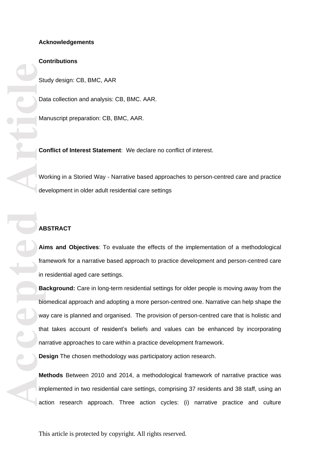### **Contributions**

Study design: CB, BMC, AAR

Data collection and analysis: CB, BMC. AAR.

Manuscript preparation: CB, BMC, AAR.

**Conflict of Interest Statement**: We declare no conflict of interest.

Working in a Storied Way - Narrative based approaches to person -centred care and practice development in older adult residential care settings

### **ABSTRACT**

**Aims and Objectives** : To evaluate the effects of the implementation of a methodological framework for a narrative based approach to practice development and person -centred care in residential aged care settings.

**Accepted Article Background:** Care in long-term residential settings for older people is moving away from the biomedical approach and adopting a more person -centred one. Narrative can help shape the way care is planned and organised. The provision of person -centred care that is holistic and that takes account of resident's beliefs and values can be enhanced by incorporating narrative approaches to care within a practice development framework.

**Design** The chosen methodology was participatory action research.

Methods Between 2010 and 2014, a methodological framework of narrative practice was implemented in two residential care settings, comprising 37 residents and 38 staff, using an action research approach. Three action cycles: (i) narrative practice and culture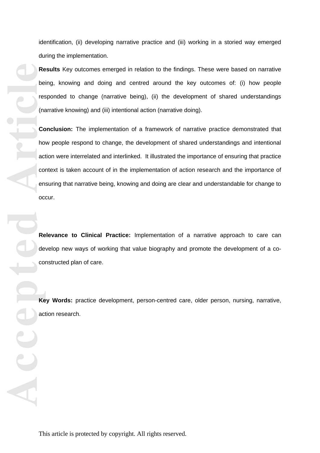identification, (ii) developing narrative practice and (iii) working in a storied way emerged during the implementation.

**Results**  Key outcomes emerged in relation to the findings. These were based on narrative being, knowing and doing and centred around the key outcomes of: (i) how people responded to change (narrative being), (ii) the development of shared understandings (narrative knowing) and (iii) intentional action (narrative doing).

**Reduced By the Conduction of the Conduction Conduction Conduction Conduction Conduction Conduction Conduction Conduction Conduction Conduction Conduction Conduction Conduction Conduction Conduction Conduction Conduction C Conclusion:** The implementation of a framework of narrative practice demonstrated that how people respond to change, the development of shared understandings and intentional action were interrelated and interlinked. It illustrate d the importance of ensuring that practice context is taken account of in the implementation of action research and the importance of ensuring that narrative being, knowing and doing are clear and understandable for change to occur.

**Relevance to Clinical Practice:** Implementation of a narrative approach to care can develop new ways of working that value biography and promote the development of a coconstructed plan of care.

Key Words: practice development, person-centred care, older person, nursing, narrative, action research.

This article is protected by copyright. All rights reserved.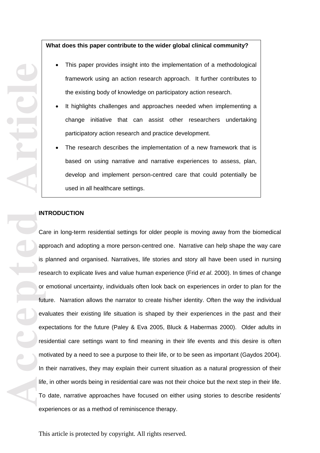### **What does this paper contribute to the wider global clinical community?**

This paper provides insight into the implementation of a methodological

Article **Article**<br>
Article and an is not an interest of the second of the second of the second of the second of the second of the second of the second of the second of the second of the second of the second of the second o framework using an action research approach. It further contributes to the existing body of knowledge on participatory action research. It highlights challenges and approaches needed when implementing a change initiative that can assist other researchers undertaking participatory action research and practice development. The research describes the implementation of a new framework that is based on using narrative and narrative experiences to assess, plan, develop and implement person -centred care that could potentially be used in all healthcare settings.

### **INTRODUCTION**

Care in long-term residential settings for older people is moving away from the biomedical approach and adopting a more person -centred one. Narrative can help shape the way care is planned and organised. Narratives, life stories and story all have been used in nursing research to explicate lives and value human experience (Frid *et al*. 2000). In times of change or emotional uncertainty, individuals often look back on experiences in order to plan for the future. Narration allows the narrator to create his/her identity. Often the way the individual evaluates their existing life situation is shaped by their experiences in the past and their expectations for the future (Paley & Eva 2005, Bluck & Habermas 2000). Older adults in residential care settings want to find meaning in their life events and this desire is often motivated by a need to see a purpose to their life, or to be seen as important (Gaydos 2004). In their narratives, they may explain their current situation as a natural progression of their life, in other words being in residential care was not their choice but the next step in their life. To date , narrative approaches have focused on either using stories to describe residents' experiences or as a method of reminiscence therapy.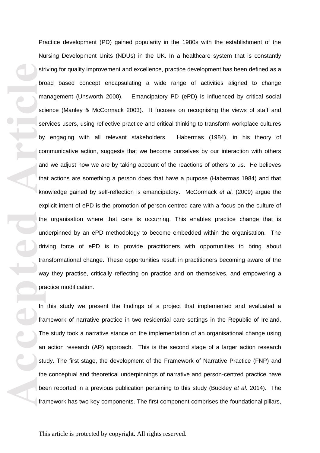er and the script of the script of the script of the script of the script of the script of the script of the script of the script of the script of the script of the script of the script of the script of the script of the s Practice development (PD) gained popularity in the 1980s with the establishment of the Nursing Development Units (NDUs) in the UK. In a healthcare system that is constantly striving for quality improvement and excellence, practice development has been defined as a broad based concept encapsulating a wide range of activities aligned to change management (Unsworth 2000). Emancipatory PD (ePD) is influenced by critical social science (Manley & McCormack 2003). It focuses on recognising the views of staff and services users, using reflective practice and critical thinking to transform workplace cultures by engaging with all relevant stakeholders. Habermas (1984), in his theory of communicative action , suggests that we become ourselves by our interaction with others and we adjust how we are by taking account of the reactions of others to us. He believes that actions are something a person does that have a purpose (Habermas 1984) and that knowledge gained by self -reflection is emancipatory. McCormack *et al.* (2009) argue the explicit intent of ePD is the promotion of person -centred care with a focus on the culture of the organisation where that care is occurring. This enables practice change that is underpinned by an ePD methodology to become embedded within the organisation. The driving force of ePD is to provide practitioners with opportunities to bring about transformational change. These opportunities result in practitioners becoming aware of the way they practise, critically reflecting on practice and on themselves, and empowering a practice modification.

In this study we present the findings of a project that implemented and evaluated a framework of narrative practice in two residential care settings in the Republic of Ireland. The study took a narrative stance on the implementation of an organisational change using an action research (AR) approach. This is the second stage of a larger action research study. The first stage, the development of the Framework of Narrative Practice (FNP) and the conceptual and theoretical underpinnings of narrative and person -centred practice have been reported in a previous publication pertaining to this study (Buckley *et al* . 2014). The framework has two key components. The first component comprises the foundational pillars,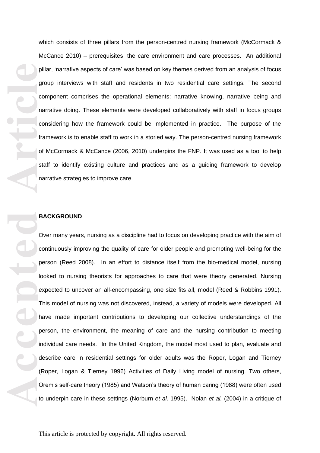which consists of three pillars from the person -centred nursing framework (McCormack & McCance 2010) – prerequisites, the care environment and care processes. An additional pillar, 'narrative aspects of care' was based on key themes derived from an analysis of focus group interviews with staff and residents in two residential care settings. The second component comprises the operational elements: narrative knowing, narrative being and narrative doing. These elements were developed collaboratively with staff in focus groups considering how the framework could be implemented in practice. The purpose of the framework is to enable staff to work in a storied way. The person -centred nursing framework of McCormack & McCance (2006, 2010) underpins the FNP. It was used as a tool to help staff to identify existing culture and practices and as a guiding framework to develop narrative strategies to improve care.

### **BACKGROUND**

pill<br>grid<br>grid<br>grid<br>grid<br>grid<br>grid<br>article<br>article<br>grid<br>Displane<br>on the local pic<br>de<br>Rid<br>for the local pick<br>on the local pick<br>in the local pick<br>grid<br>for the local pick<br>grid<br>for the local pick<br>grid<br>for the local pick<br>for th Over many years , nursing as a discipline had to focus on developing practice with the aim of continuously improving the quality of care for older people and promoting well -being for the person (Reed 2008). In an effort to distance itself from the bio -medical model, nursing looked to nursing theorists for approaches to care that were theory generated. Nursing expected to uncover an all -encompassing, one size fits all, model (Reed & Robbins 1991). This model of nursing was not discovered, instead, a variety of models were developed. All have made important contributions to developing our collective understandings of the person, the environment, the meaning of care and the nursing contribution to meeting individual care needs. In the United Kingdom, the model most used to plan, evaluate and describe care in residential settings for older adults was the Roper, Logan and Tierney (Roper, Logan & Tierney 1996) Activities of Daily Living model of nursing . Two others , Orem's self -care theory (1985) and Watson's theory of human caring (1988) were often used to underpin care in these settings (Norburn *et al .* 1995). Nolan *et al.* (2004) in a critique of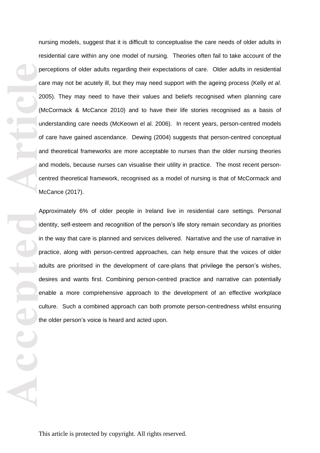nursing models, suggest that it is difficult to conceptualise the care needs of older adults in residential care within any one model of nursing. Theories often fail to take account of the perceptions of older adults regarding their expectations of care. Older adults in residential care may not be acutely ill, but they may need support with the ageing process (Kelly et al. 2005). They may need to have their values and beliefs recognised when planning care (McCormack & McCance 2010) and to have their life stories recognised as a basis of understanding care needs (McKeown el al. 2006). In recent years, person -centred models of care have gained ascendance. Dewing (2004) suggests that person -centred conceptual and theoretical frameworks are more acceptable to nurses than the older nursing theories and models, because nurses can visualise their utility in practice. The most recent personcentred theoretical framework, recognised as a model of nursing is that of McCormack and McCance (2017).

**Pe**<br> **Ca**<br> **Accepted**<br> **Article**<br> **Article**<br> **Article**<br> **Article**<br> **Article**<br> **Article**<br> **Article**<br> **Article**<br> **Article**<br> **Article**<br> **Article**<br> **Article**<br> **Article**<br> **Article** Approximately 6% of older people in Ireland live in residential care settings. Personal identity, self-esteem and recognition of the person's life story remain secondary as priorities in the way that care is planned and services delivered. Narrative and the use of narrative in practice, along with person-centred approaches, can help ensure that the voices of older adults are prioritsed in the development of care-plans that privilege the person's wishes, desires and wants first. Combining person -centred practice and narrative can potentially enable a more comprehensive approach to the development of an effective workplace culture. Such a combined approach can both promote person -centredness whilst ensuring the older person's voice is heard and acted upon.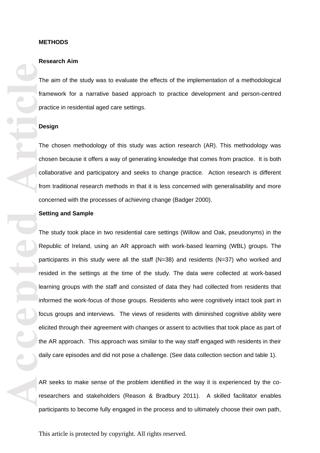#### **METHODS**

#### **Research Aim**

The aim of the study was to evaluate the effects of the implementation of a methodological framework for a narrative based approach to practice development and person -centred practice in residential aged care settings.

### **Design**

The chosen methodology of this study was action research (AR). This methodology was chosen because it offer s a way of generating knowledge that comes from practice. It is both collaborative and participatory and seeks to change practice. Action research is different from traditional research methods in that it is less concerned with generalisability and more concerned with the processes of achieving change (Badger 2000).

#### **Setting and Sample**

The particle and the particle information of the particle information of the particle information of the particle information of the particle information of the particle information of the particle information of the parti The study took place in two residential care settings (Willow and Oak, pseudonyms ) in the Republic of Ireland, using an AR approach with work -based learning (WBL) groups. The participants in this study were all the staff (N=38) and residents (N=37) who worked and resided in the settings at the time of the study. The data were collected at work -based learning groups with the staff and consisted of data they had collected from residents that informed the work -focus of those groups. Residents who were cognitively intact took part in focus groups and interviews. The views of residents with diminished cognitive ability were elicited through their agreement with changes or assent to activities that took place as part of the AR approach. This approach was similar to the way staff engaged with residents in their daily care episodes and did not pose a challenge. (See data collection section and table 1 ) .

AR seeks to make sense of the problem identified in the way it is experienced by the coresearchers and stakeholders (Reason & Bradbury 2011 ). A skilled facilitator enable s participants to become fully engaged in the process and to ultimately choose their own path,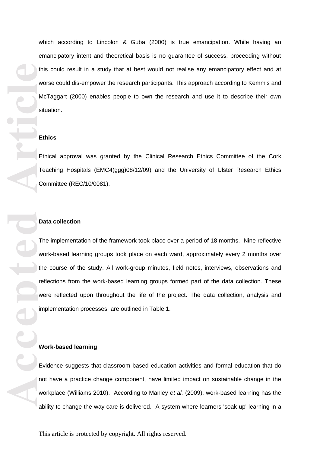which according to Lincolon & Guba (2000) is true emancipation. While having an emancipatory intent and theoretical basis is no guarantee of success, proceeding without this could result in a study that at best would not realise any emancipatory effect and at worse could dis -empower the research participants. This approach according to Kemmis and McTaggart (2000) enables people to own the research and use it to describe their own situation.

#### **Ethics**

Ethical approval was granted by the Clinical Research Ethics Committee of the Cork Teaching Hospitals (EMC4(ggg)08/12/09) and the University of Ulster Research Ethics Committee (REC/10/0081).

### **Data collection**

this work of the control of the control of the control of the control of the control of the control of the control of the control of the control of the control of the control of the control of the control of the control of The implementation of the framework took place over a period of 18 months. Nine reflective work -based learning groups took place on each ward, approximately every 2 months over the course of the study. All work-group minutes, field notes, interviews, observations and reflections from the work-based learning groups formed part of the data collection. These were reflected upon throughout the life of the project. The data collection, analysis and implementation processes are outlined in Table 1.

#### **Work -based learning**

Evidence suggest s that classroom based education activities and formal education that do not have a practice change component, have limited impact on sustainable change in the workplace (Williams 2010). According to Manley *et al.* (2009), work -based learning has the ability to change the way care is delivered. A system where learners 'soak up' learning in a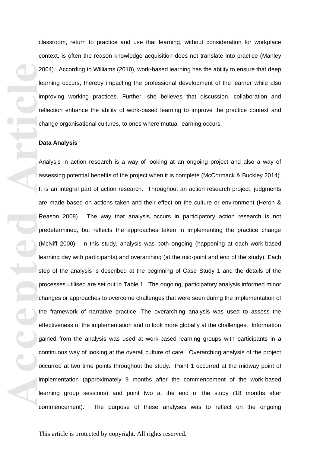classroom, return to practice and use that learning, without consideration for workplace context, is often the reason knowledge acquisition does not translate into practice (Manley 2004). According to Williams (2010), work -based learning has the ability to ensure that deep learning occurs , thereby impacting the professional development of the learner while also improving working practices. Further , she believe s that discussion, collaboration and reflection enhance the ability of work-based learning to improve the practice context and change organisational cultures , to ones where mutual learning occurs.

#### **Data Analysis**

**Accepted Article**<br> **Article**<br> **Article**<br> **Article**<br> **Article**<br> **Article**<br> **Article**<br> **Article**<br> **Article**<br> **Article**<br> **Article**<br> **Article**<br> **Article**<br> **Article**<br> **Article**<br> **Pref**<br> **Exted**<br> **Exted**<br> **Exted**<br> **Exted**<br> **E** Analysis in action research is a way of looking at an ongoing project and also a way of assessing potential benefits of the project when it is complete (McCormack & Buckley 2014). It is an integral part of action research. Throughout an action research project , judgments are made based on actions taken and their effect on the culture or environment (Heron & Reason 2008). The way that analysis occurs in participatory action research is not predetermined, but reflects the approaches taken in implementing the practice change (McNiff 2000). In this study, analysis was both ongoing (happening at each work -based learning day with participants) and overarching (at the mid-point and end of the study). Each step of the analysis is described at the beginning of Case Study 1 and the details of the processes utilised are set out in Table 1. The ongoing , participatory analysis informed minor changes or approaches to overcome challenges that were seen during the implementation of the framework of narrative practice. The overarching analysis was used to assess the effectiveness of the implementation and to look more globally at the challenges. Information gained from the analysis was used at work -based learning groups with participants in a continuous way of looking at the overall culture of care. Overarching analysis of the project occurred at two time points throughout the study. Point 1 occurred at the midway point of implementation (approximately 9 months after the commencement of the work -based learning group sessions) and point two at the end of the study (18 months after commencement The purpose of these analyses was to reflect on the ongoing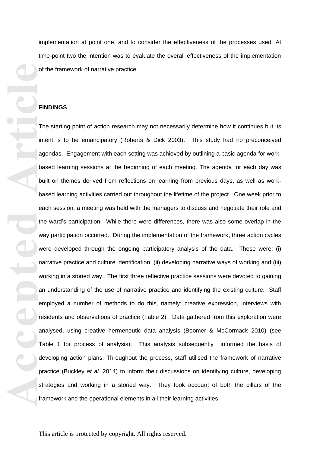implementation at point one, and to consider the effectiveness of the processes used. At time -point two the intention was to evaluate the overall effectiveness of the implementation of the framework of narrative practice.

#### **FINDINGS**

of the price of the price of the price of the price of the price of the price of the price of the price of the price of the price of the price of the price of the price of the price of the price of the price of the price o The starting point of action research may not necessarily determine how it continues but its intent is to be emancipatory (Roberts & Dick 2003). This study had no preconceived agendas. Engagement with each setting was achieved by outlining a basic agenda for work based learning sessions at the beginning of each meeting. The agenda for each day was built on themes derived from reflections on learning from previous days, as well as work based learning activities carried out throughout the lifetime of the project. One week prior to each session, a meeting was held with the managers to discuss and negotiate their role and the ward 's participation. While there were differences, there was also some overlap in the way participation occurred. During the implementation of the framework , three action cycles were developed through the ongoing participatory analysis of the data. These were: (i) narrative practice and culture identification, (ii) developing narrative ways of working and (iii) working in a storied way . The first three reflective practice sessions were devoted to gaining an understanding of the use of narrative practice and identifying the existing culture. Staff employed a number of methods to do this, namely; creative expression, interviews with residents and observations of practice (Table 2). Data gathered from this exploration were analysed, using creative hermeneutic data analysis (Boomer & McCormack 2010) (see Table 1 for process of analysis). This analysis subsequently informed the basis of developing action plans. Throughout the process , staff utilised the framework of narrative practice (Buckley *et al .* 2014) to inform their discussions on identifying culture, developing strategies and working in a storied way. They took account of both the pillars of the framework and the operational elements in all their learning activities.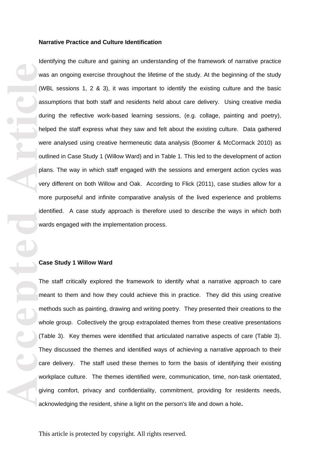#### **Narrative Practice and Culture Identification**

**Accepted Article**<br> **Accepted Article**<br> **Accepted**<br> **Article**<br> **Article**<br> **Article**<br> **Article**<br> **Article**<br> **Article**<br> **Article**<br> **Article**<br> **Article**<br> **Article**<br> **Article**<br> **Article**<br> **Article**<br> **Article**<br> **Article**<br> Identifying the culture and gaining an understanding of the framework of narrative practice was an ongoing exercise throughout the lifetime of the study. At the beginning of the study (WBL sessions 1, 2 & 3), it was important to identify the existing culture and the basic assumptions that both staff and residents held about care delivery . Using creative media during the reflective work-based learning sessions, (e.g. collage, painting and poetry), helped the staff express what they saw and felt about the existing culture . Data gathered were analysed using creative hermeneutic data analysis (Boomer & McCormack 2010) as outlined in Case Study 1 (Willow Ward) and in Table 1 . This led to the development of action plans. The way in which staff engaged with the sessions and emergent action cycles was very different on both Willow and Oak. According to Flick (2011), case studies allow for a more purposeful and infinite comparative analysis of the lived experience and problems identified. A case study approach is therefore used to describe the ways in which both wards engaged with the implementation process.

#### **Case Study 1 Willow Ward**

The staff critically explored the framework to identify what a narrative approach to care meant to them and how they could achieve this in practice. They did this using creative methods such as painting, drawing and writing poetry . They presented their creations to the whole group. Collectively the group extrapolated themes from these creative presentations (Table 3). Key themes were identified that articulated narrative aspects of care (Table 3). They discussed the themes and identified ways of achieving a narrative approach to their care delivery. The staff used these themes to form the basis of identifying their existing workplace culture. The themes identified were, communication, time, non-task orientated, giving comfort, privacy and confidentiality, commitment, providing for residents needs, acknowledging the resident, shine a light on the person's life and down a hole**.**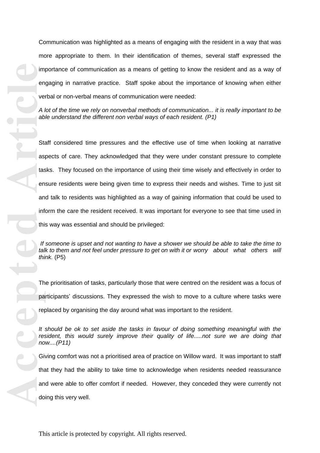Communication was highlighted as a means of engaging with the resident in a way that was more appropriate to them. In their identification of themes , several staff expressed the importance of communication as a means of getting to know the resident and as a way of engaging in narrative practice. Staff spoke about the importance of knowing when either verbal or non-verbal means of communication were needed:

*A lot of the time we rely on nonverbal methods of communication... it is really important to be able understand the different non verbal ways of each resident. (P1)*

**Accepted Article**<br> **Article**<br> **Article**<br> **Article**<br> **Article**<br> **Article**<br> **Article**<br> **Article**<br> **Article**<br> **Article**<br> **Article**<br> **Article**<br> **Article**<br> **Article**<br> **Article**<br> **Article**<br> **Article**<br> **Article**<br> **Article**<br> **A** Staff considered time pressures and the effective use of time when looking at narrative aspects of care. They acknowledged that they were under constant pressure to complete tasks. They focused on the importance of using their time wisely and effectively in order to ensure residents were being given time to express their needs and wishes. Time to just sit and talk to residents was highlighted as a way of gaining information that could be used to inform the care the resident received. It was important for everyone to see that time used in this way was essential and should be privileged:

*If someone is upset and not wanting to have a shower we should be able to take the time to talk to them and not feel under pressure to get on with it or worry about what others will think.* (P5 )

The prioritisation of tasks, particularly those that were centred on the resident was a focus of participants ' discussions. They expressed the wish to move to a culture where tasks were replaced by organising the day around what was important to the resident.

*It should be ok to set aside the tasks in favour of doing something meaningful with the resident, this would surely improve their quality of life.....not sure we are doing that now....(P11 )*

Giving comfort was not a prioritised area of practice on Willow ward. It was important to staff that they had the ability to take time to acknowledge when residents needed reassurance and were able to offer comfort if needed. However, they conceded they were currently not doing this very well.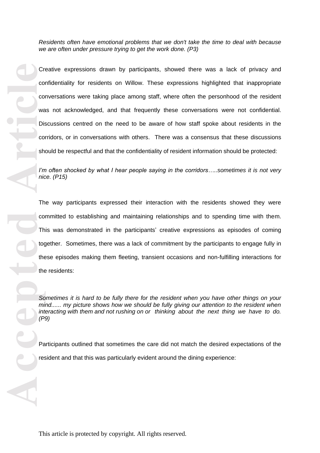*Residents often have emotional problems that we don't take the time to deal with because we are often under pressure trying to get the work done. (P3)*

Creative expressions drawn by participants , showed there was a lack of privacy and confidentiality for residents o n Willow. These expressions highlighted that inappropriate conversations were taking place among staff, where often the personhood of the resident was not acknowledged, and that frequently these conversations were not confidential. Discussions centred on the need to be aware of how staff spoke about residents in the corridors, or in conversations with others. There was a consensus that these discussions should be respectful and that the confidentiality of resident information should be protected:

*I'm often shocked by what I hear people saying in the corridors…..sometimes it is not very nice. (P15)*

Cristal Cristal Cristal Cristal Cristal Cristal Cristal Cristal Cristal Cristal Cristal Cristal Cristal Cristal Cristal Cristal Cristal Cristal Cristal Cristal Cristal Cristal Cristal Cristal Cristal Cristal Cristal Crista The way participants expressed their interaction with the residents showed they were committed to establishing and maintaining relationships and to spending time with them. This was demonstrated in the participants ' creative expressions as episodes of coming together. Sometimes, there was a lack of commitment by the participants to engage fully in these episodes making them fleeting, transient occasions and non -fulfilling interactions for the residents:

*Sometimes it is hard to be fully there for the resident when you have other things on your mind...... my picture shows how we should be fully giving our attention to the resident when interacting with them and not rushing on or thinking about the next thing we have to do. (P9)* 

Participants outlined that sometimes the care did not match the desired expectations of the resident and that this was particularly evident around the dining experience: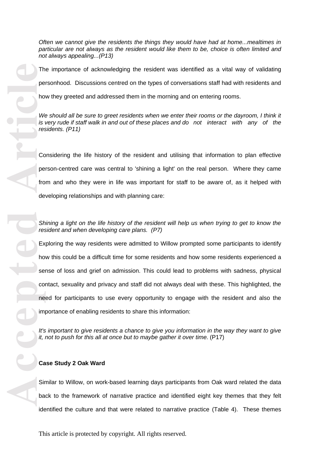*Often we cannot give the residents the things they would have had at home...mealtimes in particular are not always as the resident would like them to be, choice is often limited and not always appealing.. .(P13)*

The importance of acknowledging the resident was identified as a vital way of validating personhood. Discussions centred on the types of conversations staff had with residents and

how they greeted and addressed them in the morning and on entering rooms.

We should all be sure to greet residents when we enter their rooms or the dayroom, I think it *is very rude if staff walk in and out of these places and do not interact with any of the residents. (P11 )*

Considering the life history of the resident and utilising that information to plan effective person -centred care was central to 'shining a light' on the real person. Where they came from and who they were in life was important for staff to be aware of , as it helped with developing relationships and with planning care :

*Shining a light on the life history of the resident will help us when trying to get to know the resident and when developing care plans. (P7)*

Exploring the way residents were admitted to Willow prompted some participants to identify how this could be a difficult time for some residents and how some residents experienced a sense of loss and grief on admission. This could lead to problems with sadness, physical contact, sexuality and privacy and staff did not always deal with these . This highlighted, the need for participants to use every opportunity to engage with the resident and also the importance of enabling residents to share this information:

It's important to give residents a chance to give you information in the way they want to give *it, not to push for this all at once but to maybe gather it over time.* (P17 )

### **Case Study 2 Oak Ward**

Similar to Willow, on work -based learning days participants from Oak ward related the data back to the framework of narrative practice and identified eight key themes that they felt identified the culture and that were related to narrative practice (Table 4). These themes

The perform of the street of the street of the service of the service of the service of the service of the service of the service of the service of the service of the service of the service of the service of the service of This article is protected by copyright. All rights reserved.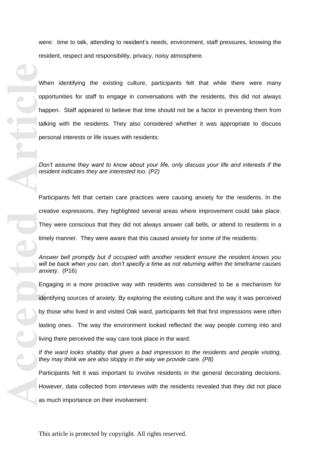were: time to talk, attending to resident's needs, environment, staff pressures, knowing the resident, respect and responsibility, privacy, noisy atmosphere.

When identifying the existing culture , participants felt that while there were many opportunities for staff to engage in conversations with the residents , this did not always happen. Staff appeared to believe that time should not be a factor in preventing them from talking with the residents. They also considered whether it was appropriate to discuss personal interests or life issues with residents :

*Don't assume they want to know about your life, only discuss your life and interests if the resident indicates they are interested too. (P2)*

Participants felt that certain care practices were causing anxiety for the residents. In the creative expressions, they highlighted several areas where improvement could take place. They were conscious that they did not always answer call bells, or attend to residents in a timely manner. They were aware that this caused anxiety for some of the residents :

*Answer bell promptly but if occupied with another resident ensure the resident knows you will be back when you can, don't specify a time as not returning within the timeframe causes anxiety*. (P16)

**Accepted Article**<br> **Article**<br> **Article**<br> **Article**<br> **Article**<br> **Article**<br> **Article**<br> **Article**<br> **Article**<br> **Article**<br> **Article**<br> **Article**<br> **Article**<br> **Article**<br> **Article**<br> **Article**<br> **Article**<br> **Article**<br> **Article**<br> **A** Engaging in a more proactive way with resident s was considered to be a mechanism for identifying sources of anxiety. By exploring the existing culture and the way it was perceived by those who lived in and visited Oak ward, participants felt that first impressions were often lasting ones. The way the environment looked reflected the way people coming into and living there perceived the way care took place in the ward: *If the ward looks shabby that gives a bad impression to the residents and people visiting, they may think we are also sloppy in the way we provide care. (P8)* Participants felt it was important to involve residents in the general decorating decisions.

However, data collected from interviews with the residents revealed that they did not place as much importance on their involvement :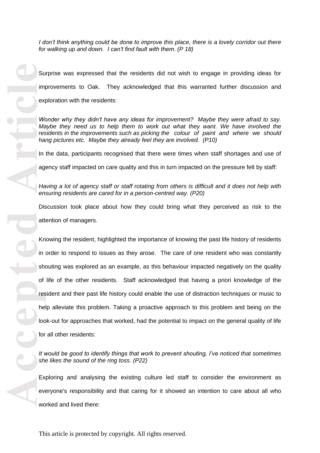*I don't think anything could be done to improve this place, there is a lovely corridor out there for walking up and down. I can't find fault with them. (P 18)*

Surprise was expressed that the residents did not wish to engage in providing ideas for improvements to Oak. They acknowledged that this warranted further discussion and exploration with the residents:

*Wonder why they didn't have any ideas for improvement? Maybe they were afraid to say. Maybe they need us to help them to work out what they want. We have involved the residents in the improvements such as picking the colour of paint and where we should hang pictures etc. Maybe they already feel they are involved. (P10)*

In the data, participants recognised that there were times when staff shortages and use of

agency staff impacted on care quality and this in turn impacted on the pressure felt by staff:

*Having a lot of agency staff or staff rotating from others is difficult and it does not help with ensuring residents are cared for in a person -centred way. (P20)*

Discussion took place about how they could bring what they perceived as risk to the attention of managers .

Knowing the resident , highlighted the importance of knowing the past life history of residents in order to respond to issues as they arose. The care of one resident who was constantly shouting was explored as an example, as this behaviour impacted negatively on the quality of life of the other residents. Staff acknowledged that having a priori knowledge of the resident and their past life history could enable the use of distraction techniques or music to help alleviate this problem. Taking a proactive approach to this problem and being on the look-out for approaches that worked, had the potential to impact on the general quality of life for all other residents:

*It would be good to identify things that work to prevent shouting, I've noticed that sometimes she likes the sound of the ring toss. (P22)*

Exploring and analysing the existing culture led staff to consider the environment as everyone's responsibility and that caring for it showed an intention to care about all who worked and lived there: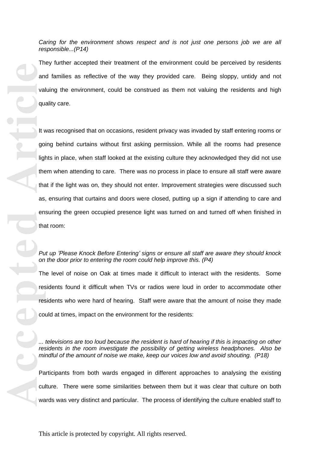*responsible.. .(P14)*

They further accepted their treatment of the environment could be perceived by residents and families as reflective of the way they provided care. Being sloppy, untidy and not valuing the environment, could be construed as them not valuing the residents and high quality care .

Caring for the environment shows respect and is not just one persons job we are all<br>orsponsible...(P14)<br>They further accepted their treatment of the environment could be perceived by residents<br>and finitilies as reflective It was recognised that on occasions, resident privacy was invaded by staff entering rooms or going behind curtains without first asking permission. While all the rooms had presence lights in place, when staff looked at the existing culture they acknowledged they did not use them when attending to care. There was no process in place to ensure all staff were aware that if the light was on, they should not enter. Improvement strategies were discussed such as , ensuring that curtains and doors were closed, putting up a sign if attending to care and ensuring the green occupied presence light was turned on and turned off when finished in that room :

### Put up 'Please Knock Before Entering' signs or ensure all staff are aware they should knock *on the door prior to entering the room could help improve this. (P4)*

The level of noise on Oak at times made it difficult to interact with the residents. Some residents found it difficult when TVs or radios were loud in order to accommodate other residents who were hard of hearing. Staff were aware that the amount of noise they made could at times, impact on the environment for the residents:

*... televisions are too loud because the resident is hard of hearing if this is impacting on other residents in the room investigate the possibility of getting wireless headphones. Also be mindful of the amount of noise we make, keep our voices low and avoid shouting. (P18)*

Participants from both wards engaged in different approaches to analysing the existing culture. There were some similarities between them but it was clear that culture on both wards was very distinct and particular. The process of identifying the culture enabled staff to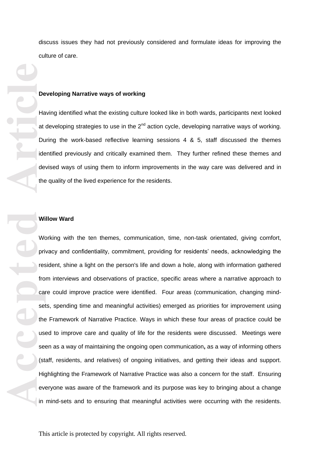discuss issues they had not previously considered and formulate ideas for improving the culture of care.

#### **Developing Narrative ways of working**

Having identified what the existing culture looked like in both wards , participants next looked at developing strategies to use in the  $2<sup>nd</sup>$  action cycle, developing narrative ways of working. During the work -based reflective learning sessions 4 & 5, staff discussed the themes identified previously and critically examined them. They further refined these themes and devised ways of using them to inform improvements in the way care was delivered and in the quality of the lived experience for the residents.

### **Willow Ward**

**De**<br> **Accepted**<br> **Accepted**<br> **Article**<br> **Article**<br> **Article**<br> **Article**<br> **Article**<br> **Article**<br> **Article**<br> **Article**<br> **Article**<br> **Article**<br> **Article**<br> **Article**<br> **Article**<br> **Article**<br> **Article**<br> **Article**<br> **Article**<br> **Arti** Working with the ten themes, communication, time, non -task orientated, giving comfort, privacy and confidentiality, commitment, providing for residents' needs, acknowledging the resident, shine a light on the person's life and down a hole, along with information gathered from interviews and observations of practice, specific areas where a narrative approach to care could improve practice were identified. Four areas (communication, changing mind sets, spending time and meaningful activities) emerged as priorities for improvement using the Framework of Narrative Practice. Ways in which these four areas of practice could be used to improve care and quality of life for the residents were discussed. Meetings were seen as a way of maintaining the ongoing open communication **,** as a way of informing others (staff, residents, and relatives) of ongoing initiatives, and getting their ideas and support. Highlighting the Framework of Narrative Practice was also a concern for the staff. Ensuring everyone was aware of the framework and its purpose was key to bringing about a change in mind -sets and to ensuring that meaningful activities were occurring with the residents.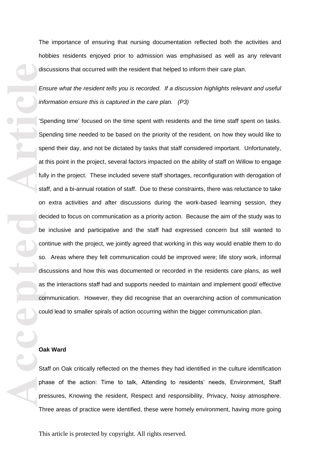hobbies resident s enjoyed prior to admission was emphasised as well as any relevant discussions that occurred with the resident that helped to inform their care plan .

*Ensure what the resident tells you is recorded. If a discussion highlights relevant and useful information ensure this is captured in the care plan. (P3)*

dis<br> **Accepted Article**<br> **Article**<br> **Article**<br> **Article**<br> **Article**<br> **Article**<br> **Article**<br> **Article**<br> **Article**<br> **Article**<br> **Article**<br> **Article**<br> **Article**<br> **Article**<br> **Article**<br> **Article**<br> **Article**<br> **Article**<br> **Article** The importance of ensuring that nursing documentation reflected both the activities and obtobles residents enjoyed prior to admission was emphassiod as well as any relevant discussions that occurred with the resident half 'Spending time' focused on the time spent with residents and the time staff spent on tasks. Spending time needed to be based on the priority of the resident, on how they would like to spend their day, and not be dictated by tasks that staff considered important. Unfortunately , at this point in the project, several factors impacted on the ability of staff on Willow to engage fully in the project. These included severe staff shortages, reconfiguration with derogation of staff, and a bi -annual rotation of staff. Due to these constraints , there was reluctance to take on extra activities and after discussions during the work -based learning session , they decided to focus on communication as a priority action . Because the aim of the study was to be inclusive and participative and the staff had expressed concern but still wanted to continue with the project, we jointly agreed that working in this way would enable them to do so. Areas where they felt communication could be improved were; life story work, informal discussions and how this was documented or recorded in the residents care plan s, as well as the interactions staff had and supports needed to maintain and implement good/ effective communication. However, they did recognise that an overarching action of communication could lead to smaller spirals of action occurring within the bigger communication plan .

### **Oak Ward**

Staff on Oak critically reflected on the themes they had identified in the culture identification phase of the action: Time to talk, Attending to residents' needs, Environment, Staff pressures, Knowing the resident, Respect and responsibility, Privacy, Noisy atmosphere. Three areas of practice were identified, these were homely environment, having more going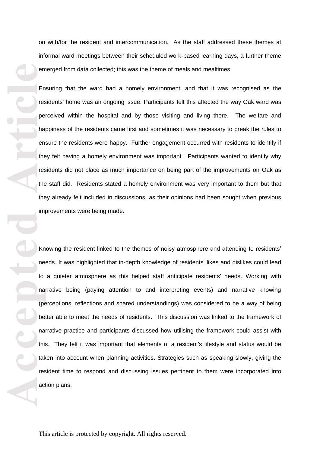on with/for the resident and intercommunication. As the staff addressed these themes at informal ward meetings between their scheduled work -based learning days, a further theme emerged from data collected; this was the theme of meals and mealtimes.

Ensuring that the ward had a homely environment, and that it was recognised as the residents' home was an ongoing issue. Participants felt this affected the way Oak ward was perceived within the hospital and by those visiting and living there. The welfare and happiness of the residents came first and sometimes it was necessary to break the rules to ensure the residents were happy. Further engagement occurred with residents to identify if the y felt having a homely environment was important. Participants wanted to identify why residents did not place as much importance on being part of the improvements on Oak as the staff did. Residents stated a homely environment was very important to them but that they already felt included in discussions, as their opinions had been sought when previous improvements were being made.

**Accepted Article**<br> **Article**<br> **Article**<br> **Article**<br> **Article**<br> **Article**<br> **Article**<br> **Article**<br> **Article**<br> **Article**<br> **Article**<br> **Article**<br> **Article**<br> **Article**<br> **Article**<br> **Article**<br> **Article**<br> **Article**<br> **Article**<br> **A** Knowing the resident linked to the themes of noisy atmosphere and attending to residents' needs. It was highlighted that in -depth knowledge of residents' likes and dislikes could lead to a quieter atmosphere as this helped staff anticipate residents' needs. Working with narrative being (paying attention to and interpreting events) and narrative knowing (perceptions, reflections and shared understandings) was considered to be a way of being better able to meet the needs of residents. This discussion was linked to the framework of narrative practice and participants discussed how utilising the framework could assist with this. They felt it was important that elements of a resident's lifestyle and status would be taken into account when planning activities. Strategies such as speaking slowly, giving the resident time to respond and discussing issues pertinent to the m were incorporated into action plans.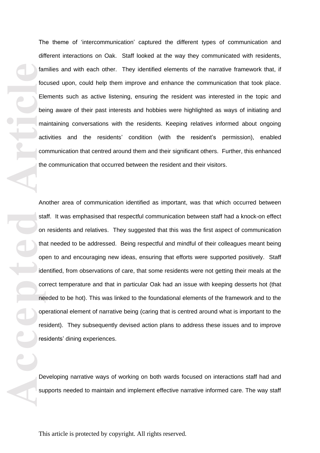The theme of 'intercommunication ' captured the different types of communication and different interactions on Oak. Staff looked at the way they communicated with residents, families and with each other. They identified elements of the narrative framework that, if focused upon, could help them improve and enhance the communication that took place. Elements such as active listening, ensuring the resident was interested in the topic and being aware of their past interests and hobbies were highlighted as ways of initiating and maintaining conversations with the residents. Keeping relatives informed about ongoing activities and the residents ' condition (with the resident's permission), enabled communication that centred around them and their significant others. Further, this enhanced the communication that occurred between the resident and their visitors.

**Accepted Article**<br> **Article**<br> **Article**<br> **Article**<br> **Article**<br> **Article**<br> **Article**<br> **Article**<br> **Article**<br> **Article**<br> **Article**<br> **Article**<br> **Article**<br> **Article**<br> **Article**<br> **Article**<br> **Article**<br> **Article**<br> **Article**<br> **A** Another area of communication identified as important , was that which occurred between staff. It was emphasised that respectful communication between staff had a knock -on effect on residents and relatives. They suggested that this was the first aspect of communication that needed to be addressed. Being respectful and mindful of their colleagues meant being open to and encouraging new ideas, ensuring that efforts were supported positively. Staff identified, from observations of care, that some residents were not getting their meals at the correct temperature and that in particular Oak had an issue with keeping desserts hot (that needed to be hot). This was linked to the foundational elements of the framework and to the operational element of narrative being (caring that is centred around what is important to the resident). They subsequently devised action plans to address these issues and to improve residents' dining experience s.

Developing narrative ways of working on both wards focused on interactions staff had and supports needed to maintain and implement effective narrative informed care. The way staff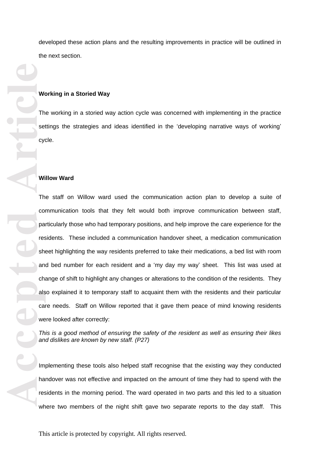developed these action plans and the resulting improvements in practice will be outlined in the next section.

### **Working in a Storied Way**

The working in a storied way action cycle was concerned with implementing in the practice settings the strategies and ideas identified in the 'developing narrative ways of working ' cycle.

#### **Willow Ward**

**Accepted Article**<br> **Article**<br> **Article**<br> **Article**<br> **Article**<br> **Article**<br> **Article**<br> **Article**<br> **Article**<br> **Article**<br> **Article**<br> **Article**<br> **Article**<br> **Article**<br> **Article**<br> **Article**<br> **Article**<br> **Article**<br> **Article**<br> **A** The staff on Willow ward used the communication action plan to develop a suite of communication tools that they felt would both improve communication between staff, particularly those who had temporary positions, and help improve the care experience for the residents. These included a communication handover sheet, a medication communication sheet highlighting the way residents preferred to take their medications, a bed list with room and bed number for each resident and a 'my day my way ' sheet. This list was used at change of shift to highlight any changes or alterations to the condition of the residents. They also explained it to temporary staff to acquaint them with the residents and their particular care needs. Staff on Willow reported that it gave them peace of mind knowing residents were looked after correctly:

*This is a good method of ensuring the safety of the resident as well as ensuring their likes and dislikes are known by new staff. (P27)*

Implementing these tools also helped staff recognise that the existing way they conducted handover was not effective and impacted on the amount of time they had to spend with the residents in the morning period. The ward operated in two parts and this led to a situation where two members of the night shift gave two separate reports to the day staff. This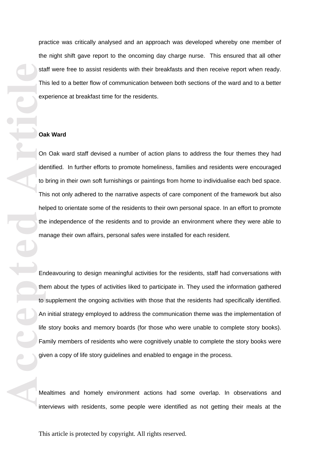practice was critically analysed and an approach was developed whereby one member of the night shift gave report to the oncoming day charge nurse. This ensured that all other staff were free to assist residents with their breakfasts and then receive report when ready. This led to a better flow of communication between both sections of the ward and to a better experience at breakfast time for the residents.

### **Oak Ward**

On Oak ward staff devised a number of action plans to address the four themes they had identified. In further efforts to promote homeliness , families and residents were encouraged to bring in their own soft furnishings or paintings from home to individualise each bed space. This not only adhered to the narrative aspects of care component of the framework but also helped to orientate some of the residents to their own personal space. In an effort to promote the independence of the residents and to provide an environment where they were able to manage their own affairs, personal safes were installed for each resident.

start The expectation of the material of the material of the material of the material of the material of the material of the material of the material of the material of the material of the material of the material of the m Endeavouring to design meaningful activities for the residents, staff had conversations with them about the type s of activities liked to participate in. They used the information gathered to supplement the ongoing activities with those that the residents had specifically identified. An initial strategy employed to address the communication theme was the implementation of life story books and memory boards (for those who were unable to complete story books ). Family members of residents who were cognitively unable to complete the story books were given a copy of life story guidelines and enabled to engage in the process.

Mealtimes and homely environment actions had some overlap. In observations and interviews with residents, some people were identified as not getting their meals at the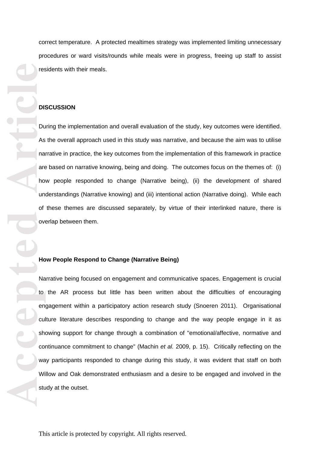correct temperature. A protected mealtimes strategy was implemented limiting unnecessary procedures or ward visits/rounds while meals were in progres s , freeing up staff to assist residents with their meals.

#### **DISCUSSION**

During the implementation and overall evaluation of the study , key outcomes were identified. As the overall approach used in this study was narrative, and because the aim was to utilise narrative in practice, the key outcomes from the implementation of this framework in practice are based on narrative knowing, being and doing. The outcomes focus on the themes of: (i) how people responded to change (Narrative being), (ii) the development of shared understandings (Narrative knowing) and (iii) intentional action (Narrative doing). While each of these themes are discussed separately, by virtue of their interlinked nature, there is overlap between them.

#### **How People Respond to Change (Narrative Being)**

**Accepted Articles Constructed Articles Constructed Articles Constructed Articles Constructed Articles Constructed Presentation Constructed Presentation Constructed Presentation Constructed Presentation Construct** Narrative being focused on engagement and communicative spaces. Engagement is crucial to the AR process but little has been written about the difficulties of encouraging engagement within a participatory action research study (Snoeren 2011). Organisational culture literature describes responding to change and the way people engage in it as showing support for change through a combination of "emotional/affective, normative and continuance commitment to change " (Machin *et al.* 2009, p. 15). Critically reflecting on the way participants responded to change during this study , it was evident that staff on both Willow and Oak demonstrated enthusiasm and a desire to be engaged and involved in the study at the outset.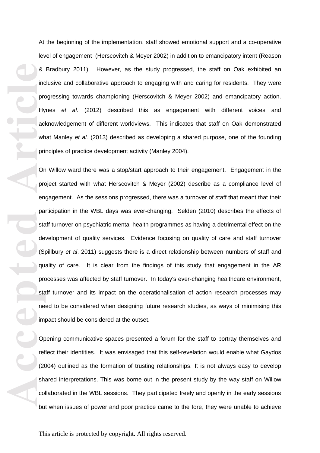At the beginning of the implementation, staff showed emotional support and a co -operative level of engagement (Herscovitch & Meyer 2002) in addition to emancipatory intent (Reason & Bradbury 2011). However, as the study progressed , the staff on Oak exhibited an inclusive and collaborative approach to engaging with and caring for residents . They were progressing towards championing (Herscovitch & Meyer 2002) and emancipatory action. Hynes *et al*. (2012) described this as engagement with different voices and acknowledgement of different worldviews. This indicates that staff on Oak demonstrated what Manley *et al.* (2013) described as developing a shared purpose, one of the founding principles of practice development activity (Manley 2004).

**Accepted**<br> **A** inc<br>
precise the passing of the passing of the passing of the passing of the passing of the passing of the passing precise the passing precise to the passing precise to the passing precise to the passing pr On Willow ward there was a stop/start approach to their engagement. Engagement in the project started with what Herscovitch & Meyer (2002) describe as a compliance level of engagement. As the sessions progressed, there was a turnover of staff that meant that their participation in the WBL days was ever -changing. Selden (2010) describes the effects of staff turnover on psychiatric mental health programmes as having a detrimental effect on the development of quality services. Evidence focusing on quality of care and staff turnover (Spillbury *et al*. 2011) suggests there is a direct relationship between numbers of staff and quality of care. It is clear from the findings of this study that engagement in the AR processes was affected by staff turnover. In today's ever -changing healthcare environment, staff turnover and its impact on the operationalisation of action research processes may need to be considered when designing future research studies, as ways of minimi sing this impact should be considered at the outset.

Opening communicative spaces presented a forum for the staff to portray themselves and reflect their identities. It was envisaged that this self -revelation would enable what Gaydos (2004) outlined as the formation of trusting relationships. It is not always easy to develop shared interpretations. This was borne out in the present study by the way staff on Willow collaborated in the WBL sessions. They participated freely and openly in the early sessions but when issues of power and poor practice came to the fore , they were unable to achieve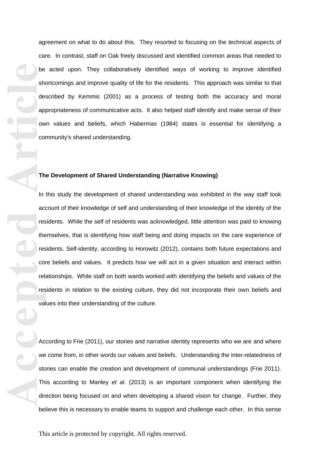agreement on what to do about this. They resorted to focusing on the technical aspects of care. In contrast, staff on Oak freely discussed and identified common areas that needed to be acted upon. They collaboratively identified ways of working to improve identified shortcomings and improve quality of life for the residents. This approach was similar to that described by Kemmis (2001) as a process of testing both the accuracy and moral appropriateness of communicative acts. It also helped staff identify and make sense of their own values and beliefs, which Habermas (1984) states is essential for identifying a community's shared understanding.

### **The Development of Shared Understanding (Narrative Knowing)**

**Accepted**<br> **Accepted**<br> **Accepted**<br> **Accepted**<br> **Accepted**<br> **Accepted**<br> **Accepted**<br> **Accepted** In this study the development of shared understanding was exhibited in the way staff took account of their knowledge of self and understanding of their knowledge of the identity of the residents. While the self of residents was acknowledged, little attention was paid to knowing themselves, that is identifying how staff being and doing impact s on the care experience of residents. Self-identity, according to Horowitz (2012), contains both future expectations and core beliefs and values. It predicts how we will act in a given situation and interact within relationships. While staff on both wards worked with identifying the beliefs and values of the residents in relation to the existing culture, they did not incorporate their own beliefs and values into their understanding of the culture.

According to Frie (2011), our stories and narrative identity represents who we are and where we come from, in other words our values and beliefs. Understanding the inter -relatedness of stories can enable the creation and development of communal understandings (Frie 2011). This according to Manley *et al*. (2013) is an important component when identifying the direction being focused on and when developing a shared vision for change. Further, they believe this is necessary to enable teams to support and challenge each other. In this sense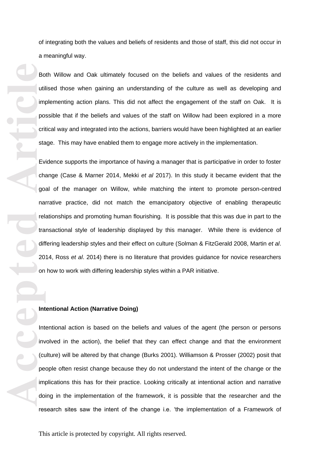of integrating both the values and beliefs of residents and those of staff, this did not occur in a meaningful way.

Both Willow and Oak ultimately focused on the beliefs and values of the residents and utilised those when gaining an understanding of the culture as well as developing and implementing action plans. This did not affect the engagement of the staff on Oak. It is possible that if the beliefs and values of the staff on Willow had been explored in a more critical way and integrated into the actions, barriers would have been highlighted at an earlier stage. This may have enabled them to engage more actively in the implementation.

Bottling point and the point of the point of the point of the point of the point of the point of the point of the point of the point of the point of the point of the point of the point of the point of the point of the poin Evidence supports the importance of having a manager that is participative in order to foster change (Case & Marner 2014 , Mekki *et al* 2017). In this study it became evident that the goal of the manager on Willow, while matching the intent to promote person -centred narrative practice, did not match the emancipatory objective of enabling therapeutic relationships and promoting human flourishing. It is possible that this was due in part to the transactional style of leadership displayed by this manager. While there is evidence of differing leadership styles and their effect on culture (Solman & FitzGerald 2008, Martin *et al*. 2014, Ross *et al*. 2014) there is no literature that provides guidance for novice researchers on how to work with differing leadership styles within a PAR initiative.

### **Intentional Action (Narrative Doing)**

Intentional action is based on the beliefs and values of the agent (the person or persons involved in the action), the belief that they can effect change and that the environment (culture) will be altered by that change (Burks 2001). Williamson & Prosser (2002) posit that people often resist change because they do not understand the intent of the change or the implications this has for their practice. Looking critically at intentional action and narrative doing in the implementation of the framework, it is possible that the researcher and the research sites saw the intent of the change i.e. 'the implementation of a Framework of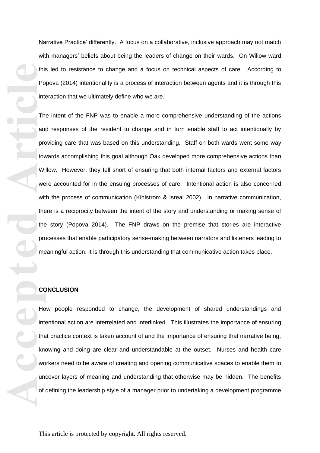Narrative Practice' differently. A focus on a collaborative, inclusive approach may not match with managers' beliefs about being the leaders of change on their wards. On Willow ward this led to resistance to change and a focus on technical aspects of care. According to Popova (2014) intentionality is a process of interaction between agents and it is through this interaction that we ultimately define who we are.

this product the product of the product of the product of the product of the product of the product of the product of the product of the product of the product of the product of the product of the product of the product of The intent of the FNP was to enable a more comprehensive understanding of the actions and responses of the resident to change and in turn enable staff to act intentionally by providing care that was based on this understanding. Staff on both wards went some way towards accomplishing this goal although Oak developed more comprehensive actions than Willow. However, they fell short of ensuring that both internal factors and external factors were accounted for in the ensuing processes of care. Intentional action is also concerned with the process of communication (Kihlstrom & Isreal 2002). In narrative communication , there is a reciprocity between the intent of the story and understanding or making sense of the story (Popova 2014). The FNP draws on the premise that stories are interactive processes that enable participatory sense -making between narrators and listeners leading to meaningful action. It is through this understanding that communicative action takes place.

#### **CONCLUSION**

How people responded to change, the development of shared understandings and intentional action are interrelated and interlinked. This illustrates the importance of ensuring that practice context is taken account of and the importance of ensuring that narrative being, knowing and doing are clear and understandable at the outset. Nurses and health care workers need to be aware of creating and opening communicative spaces to enable them to uncover layers of meaning and understanding that otherwise may be hidden. The benefits of defining the leadership style of a manager prior to undertaking a development programme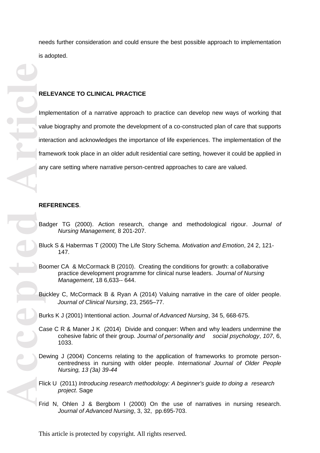needs further consideration and could ensure the best possible approach to implementation is adopted.

### **RELEVANCE TO CLINICAL PRACTICE**

**RECEPTED**<br> **ARECEPTED**<br> **ARECEPTED**<br> **ARECEPTED**<br> **ARECEPTED**<br> **ARECEPTED**<br> **ARECEPTED**<br> **ARECEPTED**<br> **ARECEPTED** Implementation of a narrative approach to practice can develop new ways of working that value biography and promote the development of a co -constructed plan of care that supports interaction and acknowledges the importance of life experience s. The implementation of the framework took place in an older adult residential care setting, however it could be applied in any care setting where narrative person -centred approaches to care are valued.

### **REFERENCES** .

- Badger TG (2000). Action research, change and methodological rigour. *Journal of Nursing Management,* 8 201 -207.
- Bluck S & Habermas T (2000) The Life Story Schema. *Motivation and Emotion*, 24 2, 121 147.
- Boomer CA & McCormack B (2010). Creating the conditions for growth: a collaborative practice development programme for clinical nurse leaders. *Journal of Nursing Management*, 18 6 ,633-- 644.
- Buckley C, McCormack B & Ryan A (2014) Valuing narrative in the care of older people. *Journal of Clinical Nursing*, 23, 2565 –77.
- Burks K J (2001) Intentional action. *Journal of Advanced Nursing*, 34 5, 668 -675.
- Case C R & Maner J K (2014) Divide and conquer: When and why leaders undermine the cohesive fabric of their group. *Journal of personality and social psychology*, *107*, 6, 1033.
- Dewing J (2004) Concerns relating to the application of frameworks to promote personcentredness in nursing with older people. *International Journal of Older People Nursing, 13 (3a) 39 -44*
- Flick U (2011) *Introducing research methodology: A beginner's guide to doing a research project*. Sage
- Frid N, Ohlen J & Bergbom I (2000) On the use of narratives in nursing research. Journal of Advanced Nursing, 3, 32, pp.695-703.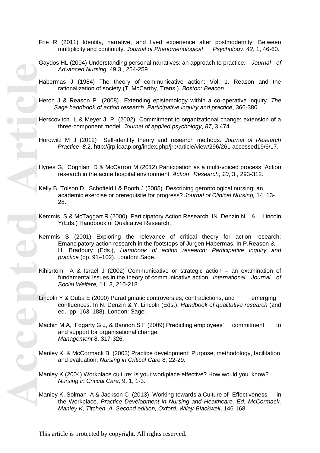- Frie R (2011) Identity, narrative, and lived experience after postmodernity: Between multiplicity and continuity. Journal of Phenomenological -60 .
- Gaydos HL (2004) Understanding personal narratives: an approach to practice. *Journal of Advanced Nursing,* 49,3., 254 -259.

Habermas J (1984) The theory of communicative action: Vol. 1. Reason and the rationalization of society (T. McCarthy, Trans.). *Boston: Beacon* .

Heron J & Reason P (2008) Extending epistemology within a co -operative inquiry. *The*  Sage handbook of action research: Participative inquiry and practice, 366-380.

Herscovitch L & Meyer J P (2002) Commitment to organizational change: extension of a three -component model. *Journal of applied psychology*, *87*, 3,474

Horowitz M J (2012) Self -identity theory and research methods. *Journal of Research Practice*, *8,*2,<http://jrp.icaap.org/index.php/jrp/article/view/296/261> accessed19/6/17.

Hynes G, Coghlan D & McCarron M (2012) Participation as a multi -voiced process: Action research in the acute hospital environment. *Action Research*, *10*, 3,, 293 -312.

Kelly B, Tolson D, Schofield I & Booth J (2005) Describing gerontological nursing: an academic exercise or prerequisite for progress? *Journal of Clinical Nursing,* 14, 13 - 28.

Kemmis S & McTaggart R (2000) Participatory Action Research. IN Denzin N & Lincoln Y(Eds.) Handbook of Qualitative Research.

Kemmis S (2001) Exploring the relevance of critical theory for action research: Emancipatory action research in the footsteps of Jurgen Habermas. In P.Reason & H. Bradbury (Eds.), *Handbook of action research: Participative inquiry and practice* (pp. 91 –102). London: Sage.

Kihlsrtöm A & Israel J (2002) Communicative or strategic action – an examination of fundamental issues in the theory of communicative action. *International Journal of Social Welfare,* 11, 3, 210 -218.

Lincoln Y & Guba E (2000) Paradigmatic controversies, contradictions, and emerging confluences. In N. Denzin & Y. Lincoln (Eds.), *Handbook of qualitative research* (2nd ed., pp. 163 –188). London: Sage.

Machin M.A, Fogarty G J, & Bannon S F (2009) Predicting employees' commitment to and support for organisational change. *Management* 8, 317 -326.

Manley K & McCormack B (2003) Practice development: Purpose, methodology, facilitation and evaluation. *Nursing in Critical Care* 8, 22 -29.

Manley K (2004) Workplace culture: is your workplace effective? How would you know? *Nursing in Critical Care,* 9, 1, 1 -3.

Manley K. Solman A & Jackson C (2013) Working towards a Culture of Effectiveness in the Workplace. *Practice Development in Nursing and Healthcare, Ed: McCormack,*  Manley K, Titchen A. Second edition, Oxford: Wiley-Blackwell, 146-168.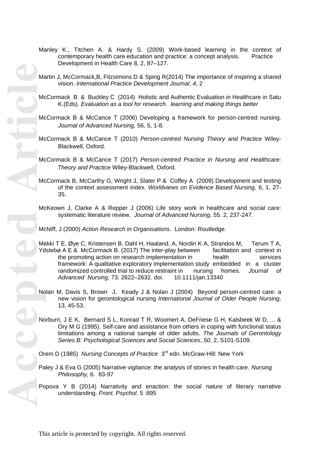- Manley K., Titchen A. & Hardy S. (2009) Work -based learning in the context of contemporary health care education and practice: a concept analysis. Practice Development in Health Care 8, 2, 87 –127.
- Martin J, McCormack,B, Fitzsimons D & Spirig R(2014) The importance of inspiring a shared vision. *International Practice Development Journal*, *4*, 2
- McCormack B & Buckley C (2014) Holistic and Authentic Evaluation in Healthcare in Satu K.(Eds). *Evaluation as a tool for research. learning and making things better*
- McCormack B & McCance T (2006) Developing a framework for person -centred nursing. *Journal of Advanced Nursing,* 56, 5, 1 -8.
- McCormack B & McCance T (2010) *Person -centred Nursing Theory and Practice* Wiley Blackwell, Oxford.
- McCormack B & McCance T (2017) *Person -centred Practice in Nursing and Healthcare: Theory and Practice* Wiley -Blackwell, Oxford.
- McCormack B, McCarthy G, Wright J, Slater P & Coffey A (2009) Development and testing of the context assessment index. *Worldviews on Evidence Based Nursing,* 6, 1, 27 - 35.
- McKeown J, Clarke A & Repper J (2006) Life story work in healthcare and social care: systematic literature review. *Journal of Advanced Nursing*, 55. 2, 237 -247.

McNiff, J (2000) *Action Research in Organisations*. London: Routledge.

- Mekki T E, Øye C, Kristensen B, Dahl H, Haaland, A, Nordin K A, Strandos M, Terum T A, Ydstebø A E & McCormack B. (2017) The inter-play between facilitation and context in the promoting action on research implementation in health services framework: A qualitative exploratory implementation study embedded in a cluster randomized controlled trial to reduce restraint in nursing homes. *Journal of Advanced Nursing*, 73. 2622 –2632. doi. 10.1111/jan.13340
- Nolan M, Davis S, Brown J, Keady J & Nolan J (2004) Beyond person -centred care: a new vision for gerontological nursing *International Journal of Older People Nursing,*  13, 45 -53.
- Norburn, J E K, Bernard S L, Konrad T R, Woomert A, DeFriese G H, Kalsbeek W D, ... & Ory M G (1995). Self -care and assistance from others in coping with functional status limitations among a national sample of older adults. *The Journals of Gerontology Series B: Psychological Sciences and Social Sciences*, *50*, 2, S101 -S109.

Orem D (1985) Nursing Concepts of Practice 3<sup>rd</sup> edn. McGraw-Hill: New York

- Paley J & Eva G (2005) Narrative vigilance: the analysis of stories in health care. *Nursing Philosophy,* 6. 83 -97
- Popova Y B (2014) Narrativity and enaction: the social nature of literary narrative understanding. *Front. Psychol*. 5 :895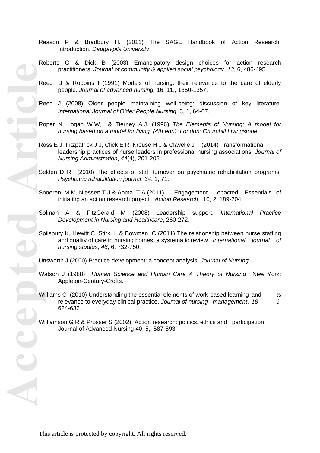- Reason P & Bradbury H. (2011) The SAGE Handbook of Action Research: Introduction. *Daugavpils University*
- Roberts G & Dick B (2003) Emancipatory design choices for action research practitioners. *Journal of community & applied social psychology*, *13*, 6, 486 -495.
- Reed J & Robbins I (1991) Models of nursing: their relevance to the care of elderly people. *Journal of advanced nursing,*  16, 11,, 1350 -1357.
- Reed J (2008) Older people maintaining well -being: discussion of key literature. *International Journal of Older People Nursing* 3, 1, 64 -67.
- Roper N, Logan W.W, & Tierney A.J. (1996**)** *The Elements of Nursing: A model for nursing based on a model for living. (4th edn). London: Churchill Livingstone*
- Ross E J, Fitzpatrick J J, Click E R, Krouse H J & Clavelle J T (2014) Transformational leadership practices of nurse leaders in professional nursing associations. *Journal of Nursing Administration*, *44*(4), 201 -206.
- Selden D R (2010) The effects of staff turnover on psychiatric rehabilitation programs. *Psychiatric rehabilitation journal*, *34*. 1, 71.
- Snoeren M M, Niessen T J & Abma T A (2011) Engagement enacted: Essentials of initiating an action research project. *Action Research*, 10, 2, 189 -204.
- Solman A & FitzGerald M (2008) Leadership support. *International Practice Development in Nursing and Healthcare*, 260 -272.
- Spilsbury K, Hewitt C, Stirk L & Bowman C (2011) The relationship between nurse staffing and quality of care in nursing homes: a systematic review. *International journal of nursing studies*, *48*, 6, 732 -750.
- Unsworth J (2000) Practice development: a concept analysis. *Journal of Nursing*
- Watson J (1988) *Human Science and Human Care A Theory of Nursing* New York: Appleton -Century -Crofts.
- Williams C (2010) Understanding the essential elements of work-based learning and its relevance to everyday clinical practice. *Journal of nursing management*, *18 6,*  624 -632.
- Williamson G R & Prosser S (2002) Action research: politics, ethics and participation, Journal of Advanced Nursing 40, 5,: 587 -593.

*.*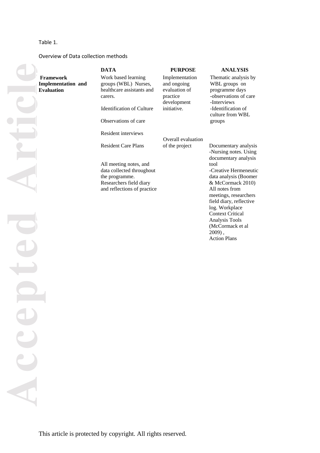#### Table 1.

ACCC

#### Overview of Data collection methods

**Accepted Article Framework Implementation and Evaluation** 

# Work based learning groups (WBL) Nurses, healthcare assistants and carers. Identification of Culture

Observations of care

Resident interviews

Resident Care Plans

All meeting notes, and data collected throughout the programme. Researchers field diary and reflections of practice

### **DATA PURPOSE ANALYSIS**

Implementation and ongoing evaluation of practice development initiative.

Overall evaluation of the project

#### Thematic analysis by

WBL group s on programme days -observations of care -Interviews -Identification of culture from WBL groups

Documentary analysis -Nursing notes. Using documentary analysis tool -Creative Hermeneutic data analysis (Boomer & McCormack 2010) All notes from meetings, researchers field diary, reflective log. Workplace Context Critical Analysis Tools (McCormack et al 2009) , Action Plans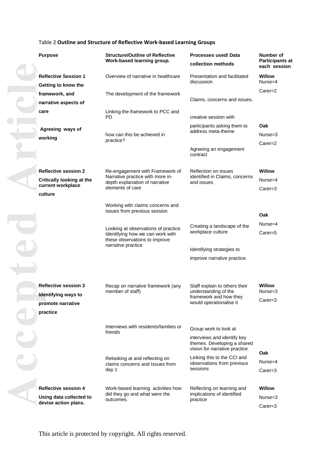#### Table 2 **Outline and Structure of Reflective Work -based Learning Groups**

| <b>Purpose</b>                   | <b>Structure/Outline of Reflective</b><br>Work-based learning group.                                      | <b>Processes used/Data</b><br>collection methods                                            | Number of<br><b>Participants at</b><br>each session |
|----------------------------------|-----------------------------------------------------------------------------------------------------------|---------------------------------------------------------------------------------------------|-----------------------------------------------------|
| <b>Reflective Session 1</b>      | Overview of narrative in healthcare                                                                       | Presentation and facilitated<br>discussion                                                  | <b>Willow</b><br>$Nurse = 4$                        |
| Getting to know the              |                                                                                                           |                                                                                             | $Carer=2$                                           |
| framework, and                   | The development of the framework                                                                          | Claims, concerns and issues.                                                                |                                                     |
| narrative aspects of             |                                                                                                           |                                                                                             |                                                     |
| care                             | Linking the framework to PCC and<br>PD                                                                    | creative session with                                                                       |                                                     |
| Agreeing ways of                 |                                                                                                           | participants asking them to<br>address meta-theme                                           | Oak                                                 |
| working                          | how can this be achieved in                                                                               |                                                                                             | $Nurse = 3$                                         |
|                                  | practice?                                                                                                 | Agreeing an engagement<br>contract                                                          | $Carer=2$                                           |
| <b>Reflective session 2</b>      | Re-engagement with Framework of                                                                           | Reflection on issues                                                                        | <b>Willow</b>                                       |
| <b>Critically looking at the</b> | Narrative practice with more in-<br>depth explanation of narrative                                        | identified in Claims, concerns<br>and issues                                                | $Nurse = 4$                                         |
| current workplace<br>culture     | elements of care                                                                                          |                                                                                             | $Carer=3$                                           |
|                                  | Working with claims concerns and<br>issues from previous session                                          |                                                                                             | Oak                                                 |
|                                  |                                                                                                           | Creating a landscape of the                                                                 | $Nurse = 4$                                         |
|                                  | Looking at observations of practice.<br>Identifying how we can work with<br>these observations to improve | workplace culture                                                                           | $Carer=5$                                           |
|                                  | narrative practice                                                                                        | Identifying strategies to                                                                   |                                                     |
|                                  |                                                                                                           | improve narrative practice.                                                                 |                                                     |
|                                  |                                                                                                           |                                                                                             |                                                     |
| <b>Reflective session 3</b>      | Recap on narrative framework (any<br>member of staff)                                                     | Staff explain to others their<br>understanding of the                                       | Willow<br>Nurse=3                                   |
| <b>Identifying ways to</b>       |                                                                                                           | framework and how they                                                                      | $Carer=3$                                           |
| promote narrative                |                                                                                                           | would operationalise it                                                                     |                                                     |
| practice                         |                                                                                                           |                                                                                             |                                                     |
|                                  | Interviews with residents/families or<br>friends                                                          | Group work to look at                                                                       |                                                     |
|                                  |                                                                                                           | interviews and identify key<br>themes. Developing a shared<br>vision for narrative practice | Oak                                                 |
|                                  | Relooking at and reflecting on<br>claims concerns and Issues from<br>day 1                                | Linking this to the CCI and<br>observations from previous<br>sessions                       | Nurse=4<br>$Carer=3$                                |
| <b>Reflective session 4</b>      | Work-based learning activities how                                                                        | Reflecting on learning and                                                                  | <b>Willow</b>                                       |
| Using data collected to          | did they go and what were the<br>outcomes.                                                                | implications of identified<br>practice                                                      | $Nurse = 3$                                         |
| devise action plans.             |                                                                                                           |                                                                                             | Carer=3                                             |
|                                  |                                                                                                           |                                                                                             |                                                     |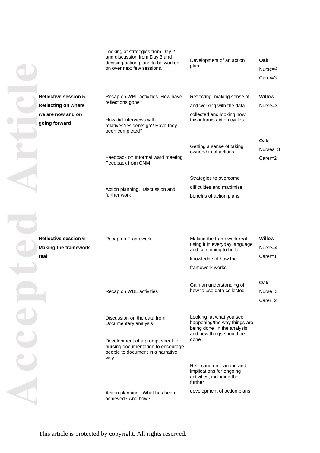|                                                                    | Looking at strategies from Day 2<br>and discussion from Day 3 and<br>devising action plans to be worked<br>on over next few sessions. | Development of an action<br>plan                                                                                          | Oak<br>Nurse=4<br>$Carer=3$           |
|--------------------------------------------------------------------|---------------------------------------------------------------------------------------------------------------------------------------|---------------------------------------------------------------------------------------------------------------------------|---------------------------------------|
| <b>Reflective session 5</b>                                        | Recap on WBL activities How have<br>reflections gone?                                                                                 | Reflecting, making sense of                                                                                               | <b>Willow</b>                         |
| <b>Reflecting on where</b><br>we are now and on                    |                                                                                                                                       | and working with the data<br>collected and looking how                                                                    | $Nurse = 3$                           |
| going forward                                                      | How did interviews with<br>relatives/residents go? Have they<br>been completed?                                                       | this informs action cycles                                                                                                |                                       |
|                                                                    | Feedback on Informal ward meeting<br>Feedback from CNM                                                                                | Getting a sense of taking<br>ownership of actions                                                                         | Oak<br>Nurses=3<br>$Carer=2$          |
|                                                                    |                                                                                                                                       | Strategies to overcome                                                                                                    |                                       |
|                                                                    | Action planning. Discussion and                                                                                                       | difficulties and maximise                                                                                                 |                                       |
|                                                                    | further work                                                                                                                          | benefits of action plans                                                                                                  |                                       |
| <b>Reflective session 6</b><br><b>Making the framework</b><br>real | Recap on Framework                                                                                                                    | Making the framework real<br>using it in everyday language<br>and continuing to build<br>knowledge of how the             | <b>Willow</b><br>Nurse=4<br>$Carer=1$ |
|                                                                    |                                                                                                                                       | framework works                                                                                                           |                                       |
|                                                                    |                                                                                                                                       | Gain an understanding of                                                                                                  | Oak                                   |
|                                                                    | Recap on WBL activities                                                                                                               | how to use data collected                                                                                                 | Nurse=3                               |
|                                                                    |                                                                                                                                       |                                                                                                                           | $Carer=2$                             |
|                                                                    | Discussion on the data from<br>Documentary analysis                                                                                   | Looking at what you see<br>happening/the way things are<br>being done in the analysis<br>and how things should be<br>done |                                       |
|                                                                    | Development of a prompt sheet for<br>nursing documentation to encourage<br>people to document in a narrative<br>way                   |                                                                                                                           |                                       |
|                                                                    |                                                                                                                                       | Reflecting on learning and<br>implications for ongoing<br>activities, including the<br>further                            |                                       |
|                                                                    | Action planning. What has been<br>achieved? And how?                                                                                  | development of action plans                                                                                               |                                       |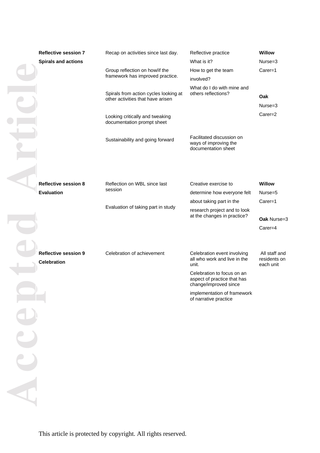| <b>Reflective session 7</b><br><b>Spirals and actions</b> | Recap on activities since last day.                                        | Reflective practice<br>What is it?                                                 | Willow<br>Nurse=3                          |
|-----------------------------------------------------------|----------------------------------------------------------------------------|------------------------------------------------------------------------------------|--------------------------------------------|
|                                                           | Group reflection on how/if the<br>framework has improved practice.         | How to get the team<br>involved?                                                   | Carer=1                                    |
|                                                           | Spirals from action cycles looking at<br>other activities that have arisen | What do I do with mine and<br>others reflections?                                  | Oak<br>Nurse=3                             |
|                                                           | Looking critically and tweaking<br>documentation prompt sheet              |                                                                                    | Carer=2                                    |
|                                                           | Sustainability and going forward                                           | Facilitated discussion on<br>ways of improving the<br>documentation sheet          |                                            |
|                                                           |                                                                            |                                                                                    |                                            |
| <b>Reflective session 8</b>                               | Reflection on WBL since last<br>session                                    | Creative exercise to                                                               | <b>Willow</b>                              |
| <b>Evaluation</b>                                         |                                                                            | determine how everyone felt                                                        | Nurse=5                                    |
|                                                           | Evaluation of taking part in study                                         | about taking part in the                                                           | Carer=1                                    |
|                                                           |                                                                            | research project and to look<br>at the changes in practice?                        | Oak Nurse=3                                |
|                                                           |                                                                            |                                                                                    | Carer=4                                    |
| <b>Reflective session 9</b><br><b>Celebration</b>         | Celebration of achievement                                                 | Celebration event involving<br>all who work and live in the<br>unit.               | All staff and<br>residents on<br>each unit |
|                                                           |                                                                            | Celebration to focus on an<br>aspect of practice that has<br>change/improved since |                                            |
|                                                           |                                                                            | implementation of framework<br>of narrative practice                               |                                            |
|                                                           |                                                                            |                                                                                    |                                            |
|                                                           |                                                                            |                                                                                    |                                            |
|                                                           |                                                                            |                                                                                    |                                            |
|                                                           |                                                                            |                                                                                    |                                            |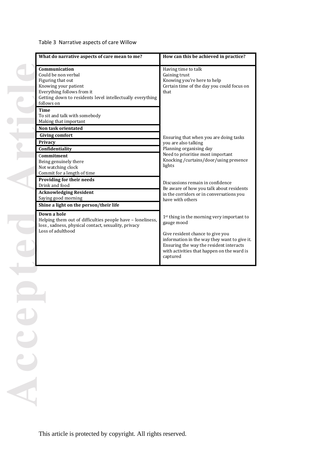# Table 3 Narrative aspects of care Willow

| What do narrative aspects of care mean to me?                                                                                                                                              | How can this be achieved in practice?                                                                                                                                                 |  |
|--------------------------------------------------------------------------------------------------------------------------------------------------------------------------------------------|---------------------------------------------------------------------------------------------------------------------------------------------------------------------------------------|--|
| Communication<br>Could be non verbal<br>Figuring that out<br>Knowing your patient<br>Everything follows from it<br>Getting down to residents level intellectually everything<br>follows on | Having time to talk<br>Gaining trust<br>Knowing you're here to help<br>Certain time of the day you could focus on<br>that                                                             |  |
| <b>Time</b><br>To sit and talk with somebody<br>Making that important<br>Non task orientated                                                                                               |                                                                                                                                                                                       |  |
| <b>Giving comfort</b><br>Privacy                                                                                                                                                           | Ensuring that when you are doing tasks<br>you are also talking                                                                                                                        |  |
| Confidentiality                                                                                                                                                                            | Planning organising day                                                                                                                                                               |  |
| Commitment<br>Being genuinely there<br>Not watching clock<br>Commit for a length of time                                                                                                   | Need to prioritise most important<br>Knocking / curtains/door/using presence<br>lights                                                                                                |  |
| Providing for their needs<br>Drink and food                                                                                                                                                | Discussions remain in confidence<br>Be aware of how you talk about residents                                                                                                          |  |
| <b>Acknowledging Resident</b><br>Saying good morning                                                                                                                                       | in the corridors or in conversations you<br>have with others                                                                                                                          |  |
| Shine a light on the person/their life                                                                                                                                                     |                                                                                                                                                                                       |  |
| Down a hole<br>Helping them out of difficulties people have - loneliness,<br>loss, sadness, physical contact, sexuality, privacy                                                           | 1 <sup>st</sup> thing in the morning very important to<br>gauge mood                                                                                                                  |  |
| Loss of adulthood                                                                                                                                                                          | Give resident chance to give you<br>information in the way they want to give it.<br>Ensuring the way the resident interacts<br>with activities that happen on the ward is<br>captured |  |

**Accepted Article** Le Acce